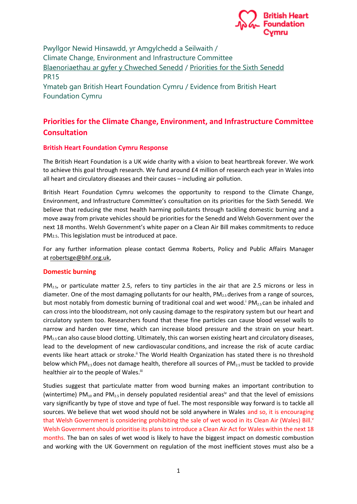

Pwyllgor Newid Hinsawdd, yr Amgylchedd a Seilwaith / Climate Change, Environment and Infrastructure Committee Blaenoriaethau ar gyfer y Chweched Senedd / Priorities for the Sixth Senedd PR15 Ymateb gan British Heart Foundation Cymru / Evidence from British Heart

Foundation Cymru

## **Priorities for the Climate Change, Environment, and Infrastructure Committee Consultation**

## **British Heart Foundation Cymru Response**

The British Heart Foundation is a UK wide charity with a vision to beat heartbreak forever. We work to achieve this goal through research. We fund around £4 million of research each year in Wales into all heart and circulatory diseases and their causes – including air pollution.

British Heart Foundation Cymru welcomes the opportunity to respond to the Climate Change, Environment, and Infrastructure Committee's consultation on its priorities for the Sixth Senedd. We believe that reducing the most health harming pollutants through tackling domestic burning and a move away from private vehicles should be priorities for the Senedd and Welsh Government over the next 18 months. Welsh Government's white paper on a Clean Air Bill makes commitments to reduce PM2.5. This legislation must be introduced at pace.

For any further information please contact Gemma Roberts, Policy and Public Affairs Manager at robertsge@bhf.org.uk,

## **Domestic burning**

 $PM<sub>2.5</sub>$ , or particulate matter 2.5, refers to tiny particles in the air that are 2.5 microns or less in diameter. One of the most damaging pollutants for our health,  $PM_{2.5}$  derives from a range of sources, but most notably from domestic burning of traditional coal and wet wood.<sup>i</sup> PM<sub>2.5</sub> can be inhaled and can cross into the bloodstream, not only causing damage to the respiratory system but our heart and circulatory system too. Researchers found that these fine particles can cause blood vessel walls to narrow and harden over time, which can increase blood pressure and the strain on your heart. PM<sub>2.5</sub> can also cause blood clotting. Ultimately, this can worsen existing heart and circulatory diseases, lead to the development of new cardiovascular conditions, and increase the risk of acute cardiac events like heart attack or stroke.<sup>ii</sup> The World Health Organization has stated there is no threshold below which PM<sub>2.5</sub> does not damage health, therefore all sources of PM<sub>2.5</sub> must be tackled to provide healthier air to the people of Wales.<sup>iii</sup>

Studies suggest that particulate matter from wood burning makes an important contribution to (wintertime) PM<sub>10</sub> and PM<sub>2.5</sub> in densely populated residential areas<sup>iv</sup> and that the level of emissions vary significantly by type of stove and type of fuel. The most responsible way forward is to tackle all sources. We believe that wet wood should not be sold anywhere in Wales and so, it is encouraging that Welsh Government is considering prohibiting the sale of wet wood in its Clean Air (Wales) Bill.' Welsh Government should prioritise its plans to introduce a Clean Air Act for Wales within the next 18 months. The ban on sales of wet wood is likely to have the biggest impact on domestic combustion and working with the UK Government on regulation of the most inefficient stoves must also be a